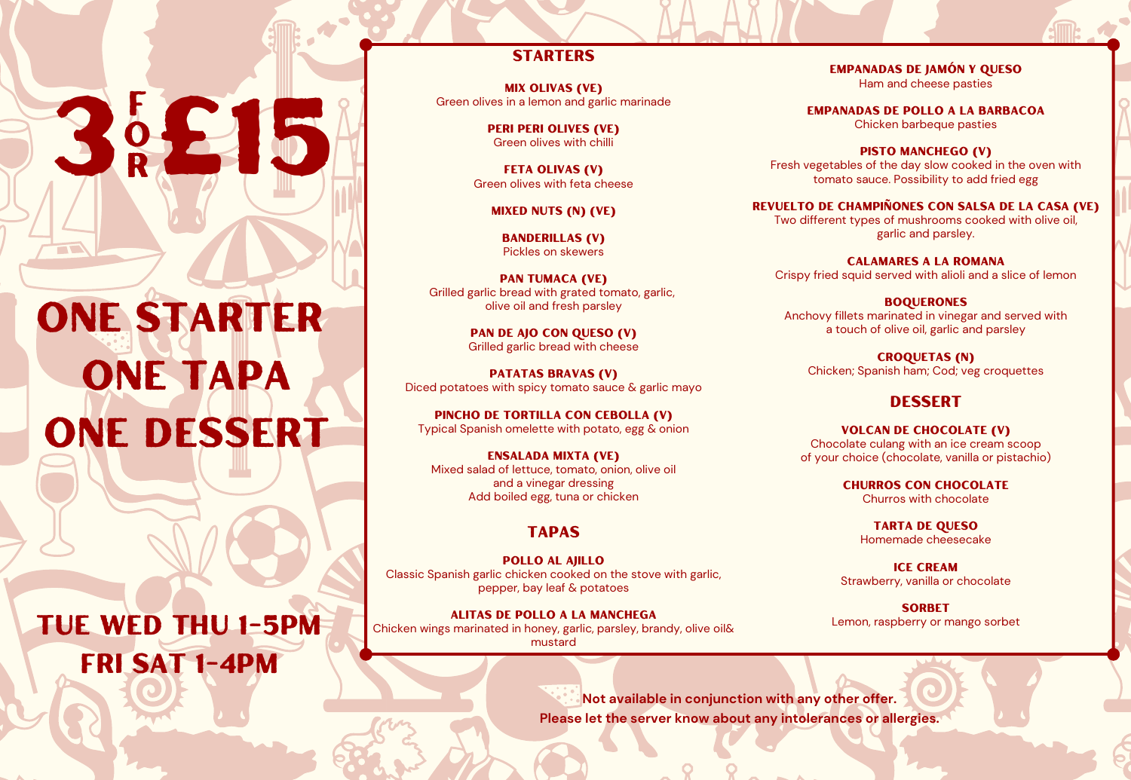# one starter one tapa one dessert

3<sup>5</sup>

o

r

 $\Box$ 

Tue wed thu 1-5pm fri sat 1-4pm

### **STARTERS**

Mix Olivas (VE) Green olives in a lemon and garlic marinade

> Peri peri Olives (VE) Green olives with chilli

Feta Olivas (V) Green olives with feta cheese

Mixed Nuts (N) (VE)

Banderillas (V) Pickles on skewers

Pan Tumaca (VE) Grilled garlic bread with grated tomato, garlic, olive oil and fresh parsley

> Pan De Ajo Con Queso (V) Grilled garlic bread with cheese

Patatas Bravas (V) Diced potatoes with spicy tomato sauce & garlic mayo

Pincho De Tortilla Con Cebolla (V) Typical Spanish omelette with potato, egg & onion

Ensalada Mixta (VE) Mixed salad of lettuce, tomato, onion, olive oil and a vinegar dressing Add boiled egg, tuna or chicken

#### **TAPAS**

Pollo Al Ajillo Classic Spanish garlic chicken cooked on the stove with garlic, pepper, bay leaf & potatoes

Alitas De Pollo A La Manchega Chicken wings marinated in honey, garlic, parsley, brandy, olive oil& mustard

Empanadas De Jamón Y Queso Ham and cheese pasties

Empanadas De Pollo A La Barbacoa Chicken barbeque pasties

PISTO MANCHEGO (V) Fresh vegetables of the day slow cooked in the oven with tomato sauce. Possibility to add fried egg

Revuelto de Champiñones con salsa de la casa (VE) Two different types of mushrooms cooked with olive oil, garlic and parsley.

Calamares A La Romana Crispy fried squid served with alioli and a slice of lemon

**BOOUERONES** Anchovy fillets marinated in vinegar and served with a touch of olive oil, garlic and parsley

Croquetas (N) Chicken; Spanish ham; Cod; veg croquettes

#### **DESSERT**

Volcan De Chocolate (V) Chocolate culang with an ice cream scoop of your choice (chocolate, vanilla or pistachio)

> Churros Con Chocolate Churros with chocolate

Tarta De Queso Homemade cheesecake

**ICE CREAM** Strawberry, vanilla or chocolate

**SORBET** Lemon, raspberry or mango sorbet

**Not available in conjunction with any other offer. Please let the server know about any intolerances or allergies.**